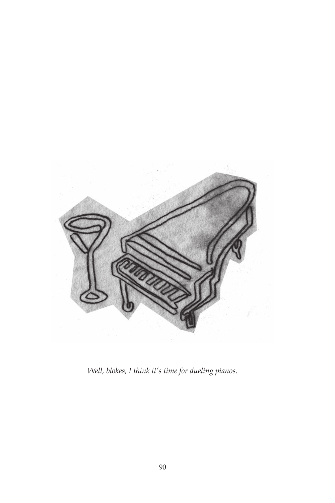

*Well, blokes, I think it's time for dueling pianos.*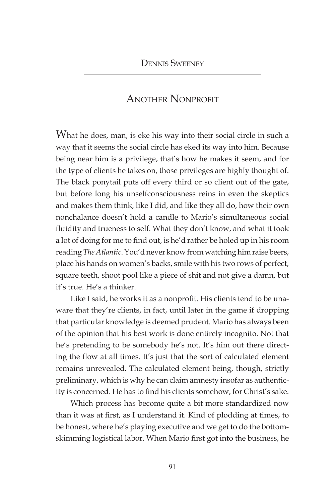# Another Nonprofit

What he does, man, is eke his way into their social circle in such a way that it seems the social circle has eked its way into him. Because being near him is a privilege, that's how he makes it seem, and for the type of clients he takes on, those privileges are highly thought of. The black ponytail puts off every third or so client out of the gate, but before long his unselfconsciousness reins in even the skeptics and makes them think, like I did, and like they all do, how their own nonchalance doesn't hold a candle to Mario's simultaneous social fluidity and trueness to self. What they don't know, and what it took a lot of doing for me to find out, is he'd rather be holed up in his room reading *The Atlantic*. You'd never know from watching him raise beers, place his hands on women's backs, smile with his two rows of perfect, square teeth, shoot pool like a piece of shit and not give a damn, but it's true. He's a thinker.

Like I said, he works it as a nonprofit. His clients tend to be unaware that they're clients, in fact, until later in the game if dropping that particular knowledge is deemed prudent. Mario has always been of the opinion that his best work is done entirely incognito. Not that he's pretending to be somebody he's not. It's him out there directing the flow at all times. It's just that the sort of calculated element remains unrevealed. The calculated element being, though, strictly preliminary, which is why he can claim amnesty insofar as authenticity is concerned. He has to find his clients somehow, for Christ's sake.

Which process has become quite a bit more standardized now than it was at first, as I understand it. Kind of plodding at times, to be honest, where he's playing executive and we get to do the bottomskimming logistical labor. When Mario first got into the business, he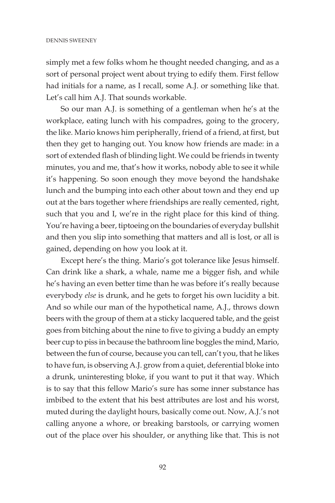simply met a few folks whom he thought needed changing, and as a sort of personal project went about trying to edify them. First fellow had initials for a name, as I recall, some A.J. or something like that. Let's call him A.J. That sounds workable.

So our man A.J. is something of a gentleman when he's at the workplace, eating lunch with his compadres, going to the grocery, the like. Mario knows him peripherally, friend of a friend, at first, but then they get to hanging out. You know how friends are made: in a sort of extended flash of blinding light. We could be friends in twenty minutes, you and me, that's how it works, nobody able to see it while it's happening. So soon enough they move beyond the handshake lunch and the bumping into each other about town and they end up out at the bars together where friendships are really cemented, right, such that you and I, we're in the right place for this kind of thing. You're having a beer, tiptoeing on the boundaries of everyday bullshit and then you slip into something that matters and all is lost, or all is gained, depending on how you look at it.

Except here's the thing. Mario's got tolerance like Jesus himself. Can drink like a shark, a whale, name me a bigger fish, and while he's having an even better time than he was before it's really because everybody *else* is drunk, and he gets to forget his own lucidity a bit. And so while our man of the hypothetical name, A.J., throws down beers with the group of them at a sticky lacquered table, and the geist goes from bitching about the nine to five to giving a buddy an empty beer cup to piss in because the bathroom line boggles the mind, Mario, between the fun of course, because you can tell, can't you, that he likes to have fun, is observing A.J. grow from a quiet, deferential bloke into a drunk, uninteresting bloke, if you want to put it that way. Which is to say that this fellow Mario's sure has some inner substance has imbibed to the extent that his best attributes are lost and his worst, muted during the daylight hours, basically come out. Now, A.J.'s not calling anyone a whore, or breaking barstools, or carrying women out of the place over his shoulder, or anything like that. This is not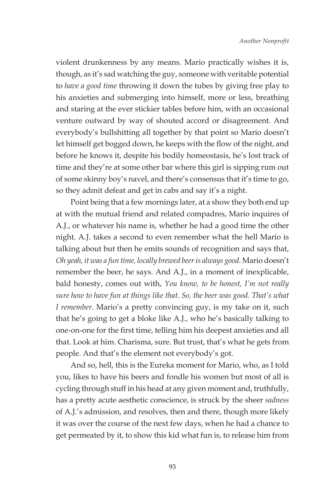violent drunkenness by any means. Mario practically wishes it is, though, as it's sad watching the guy, someone with veritable potential to *have a good time* throwing it down the tubes by giving free play to his anxieties and submerging into himself, more or less, breathing and staring at the ever stickier tables before him, with an occasional venture outward by way of shouted accord or disagreement. And everybody's bullshitting all together by that point so Mario doesn't let himself get bogged down, he keeps with the flow of the night, and before he knows it, despite his bodily homeostasis, he's lost track of time and they're at some other bar where this girl is sipping rum out of some skinny boy's navel, and there's consensus that it's time to go, so they admit defeat and get in cabs and say it's a night.

Point being that a few mornings later, at a show they both end up at with the mutual friend and related compadres, Mario inquires of A.J., or whatever his name is, whether he had a good time the other night. A.J. takes a second to even remember what the hell Mario is talking about but then he emits sounds of recognition and says that, *Oh yeah, it was a fun time, locally brewed beer is always good*. Mario doesn't remember the beer, he says. And A.J., in a moment of inexplicable, bald honesty, comes out with, *You know, to be honest, I'm not really sure how to have fun at things like that. So, the beer was good. That's what I remember*. Mario's a pretty convincing guy, is my take on it, such that he's going to get a bloke like A.J., who he's basically talking to one-on-one for the first time, telling him his deepest anxieties and all that. Look at him. Charisma, sure. But trust, that's what he gets from people. And that's the element not everybody's got.

And so, hell, this is the Eureka moment for Mario, who, as I told you, likes to have his beers and fondle his women but most of all is cycling through stuff in his head at any given moment and, truthfully, has a pretty acute aesthetic conscience, is struck by the sheer *sadness* of A.J.'s admission, and resolves, then and there, though more likely it was over the course of the next few days, when he had a chance to get permeated by it, to show this kid what fun is, to release him from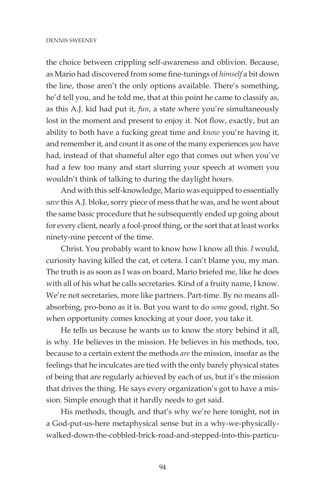the choice between crippling self-awareness and oblivion. Because, as Mario had discovered from some fine-tunings of *himself* a bit down the line, those aren't the only options available. There's something, he'd tell you, and he told me, that at this point he came to classify as, as this A.J. kid had put it, *fun*, a state where you're simultaneously lost in the moment and present to enjoy it. Not flow, exactly, but an ability to both have a fucking great time and *know* you're having it, and remember it, and count it as one of the many experiences *you* have had, instead of that shameful alter ego that comes out when you've had a few too many and start slurring your speech at women you wouldn't think of talking to during the daylight hours.

And with this self-knowledge, Mario was equipped to essentially *save* this A.J. bloke, sorry piece of mess that he was, and he went about the same basic procedure that he subsequently ended up going about for every client, nearly a fool-proof thing, or the sort that at least works ninety-nine percent of the time.

Christ. You probably want to know how I know all this. *I* would, curiosity having killed the cat, et cetera. I can't blame you, my man. The truth is as soon as I was on board, Mario briefed me, like he does with all of his what he calls secretaries. Kind of a fruity name, I know. We're not secretaries, more like partners. Part-time. By no means allabsorbing, pro-bono as it is. But you want to do *some* good, right. So when opportunity comes knocking at your door, you take it.

He tells us because he wants us to know the story behind it all, is why. He believes in the mission. He believes in his methods, too, because to a certain extent the methods *are* the mission, insofar as the feelings that he inculcates are tied with the only barely physical states of being that are regularly achieved by each of us, but it's the mission that drives the thing. He says every organization's got to have a mission. Simple enough that it hardly needs to get said.

His methods, though, and that's why we're here tonight, not in a God-put-us-here metaphysical sense but in a why-we-physicallywalked-down-the-cobbled-brick-road-and-stepped-into-this-particu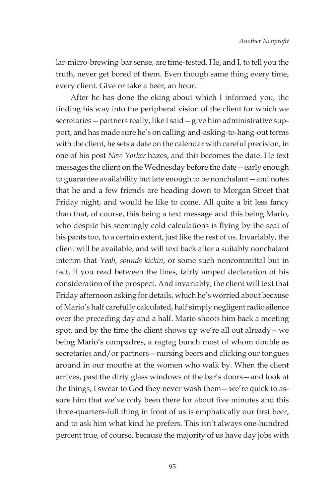lar-micro-brewing-bar sense, are time-tested. He, and I, to tell you the truth, never get bored of them. Even though same thing every time, every client. Give or take a beer, an hour.

After he has done the eking about which I informed you, the finding his way into the peripheral vision of the client for which we secretaries—partners really, like I said—give him administrative support, and has made sure he's on calling-and-asking-to-hang-out terms with the client, he sets a date on the calendar with careful precision, in one of his post *New Yorker* hazes, and this becomes the date. He text messages the client on the Wednesday before the date—early enough to guarantee availability but late enough to be nonchalant—and notes that he and a few friends are heading down to Morgan Street that Friday night, and would he like to come. All quite a bit less fancy than that, of course, this being a text message and this being Mario, who despite his seemingly cold calculations is flying by the seat of his pants too, to a certain extent, just like the rest of us. Invariably, the client will be available, and will text back after a suitably nonchalant interim that *Yeah, sounds kickin*, or some such noncommittal but in fact, if you read between the lines, fairly amped declaration of his consideration of the prospect. And invariably, the client will text that Friday afternoon asking for details, which he's worried about because of Mario's half carefully calculated, half simply negligent radio silence over the preceding day and a half. Mario shoots him back a meeting spot, and by the time the client shows up we're all out already—we being Mario's compadres, a ragtag bunch most of whom double as secretaries and/or partners—nursing beers and clicking our tongues around in our mouths at the women who walk by. When the client arrives, past the dirty glass windows of the bar's doors—and look at the things, I swear to God they never wash them—we're quick to assure him that we've only been there for about five minutes and this three-quarters-full thing in front of us is emphatically our first beer, and to ask him what kind he prefers. This isn't always one-hundred percent true, of course, because the majority of us have day jobs with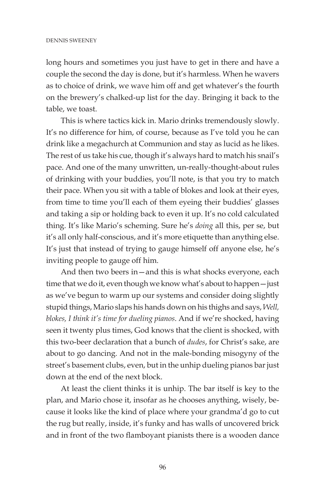long hours and sometimes you just have to get in there and have a couple the second the day is done, but it's harmless. When he wavers as to choice of drink, we wave him off and get whatever's the fourth on the brewery's chalked-up list for the day. Bringing it back to the table, we toast.

This is where tactics kick in. Mario drinks tremendously slowly. It's no difference for him, of course, because as I've told you he can drink like a megachurch at Communion and stay as lucid as he likes. The rest of us take his cue, though it's always hard to match his snail's pace. And one of the many unwritten, un-really-thought-about rules of drinking with your buddies, you'll note, is that you try to match their pace. When you sit with a table of blokes and look at their eyes, from time to time you'll each of them eyeing their buddies' glasses and taking a sip or holding back to even it up. It's no cold calculated thing. It's like Mario's scheming. Sure he's *doing* all this, per se, but it's all only half-conscious, and it's more etiquette than anything else. It's just that instead of trying to gauge himself off anyone else, he's inviting people to gauge off him.

And then two beers in—and this is what shocks everyone, each time that we do it, even though we know what's about to happen—just as we've begun to warm up our systems and consider doing slightly stupid things, Mario slaps his hands down on his thighs and says, *Well, blokes, I think it's time for dueling pianos*. And if we're shocked, having seen it twenty plus times, God knows that the client is shocked, with this two-beer declaration that a bunch of *dudes*, for Christ's sake, are about to go dancing. And not in the male-bonding misogyny of the street's basement clubs, even, but in the unhip dueling pianos bar just down at the end of the next block.

At least the client thinks it is unhip. The bar itself is key to the plan, and Mario chose it, insofar as he chooses anything, wisely, because it looks like the kind of place where your grandma'd go to cut the rug but really, inside, it's funky and has walls of uncovered brick and in front of the two flamboyant pianists there is a wooden dance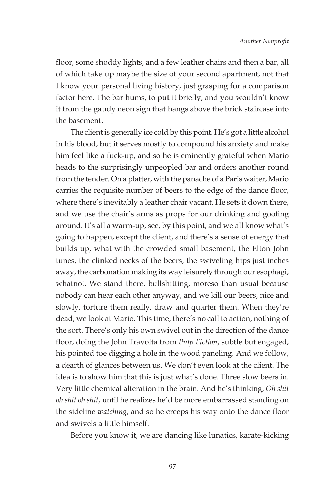floor, some shoddy lights, and a few leather chairs and then a bar, all of which take up maybe the size of your second apartment, not that I know your personal living history, just grasping for a comparison factor here. The bar hums, to put it briefly, and you wouldn't know it from the gaudy neon sign that hangs above the brick staircase into the basement.

The client is generally ice cold by this point. He's got a little alcohol in his blood, but it serves mostly to compound his anxiety and make him feel like a fuck-up, and so he is eminently grateful when Mario heads to the surprisingly unpeopled bar and orders another round from the tender. On a platter, with the panache of a Paris waiter, Mario carries the requisite number of beers to the edge of the dance floor, where there's inevitably a leather chair vacant. He sets it down there, and we use the chair's arms as props for our drinking and goofing around. It's all a warm-up, see, by this point, and we all know what's going to happen, except the client, and there's a sense of energy that builds up, what with the crowded small basement, the Elton John tunes, the clinked necks of the beers, the swiveling hips just inches away, the carbonation making its way leisurely through our esophagi, whatnot. We stand there, bullshitting, moreso than usual because nobody can hear each other anyway, and we kill our beers, nice and slowly, torture them really, draw and quarter them. When they're dead, we look at Mario. This time, there's no call to action, nothing of the sort. There's only his own swivel out in the direction of the dance floor, doing the John Travolta from *Pulp Fiction*, subtle but engaged, his pointed toe digging a hole in the wood paneling. And we follow, a dearth of glances between us. We don't even look at the client. The idea is to show him that this is just what's done. Three slow beers in. Very little chemical alteration in the brain. And he's thinking, *Oh shit oh shit oh shit*, until he realizes he'd be more embarrassed standing on the sideline *watching*, and so he creeps his way onto the dance floor and swivels a little himself.

Before you know it, we are dancing like lunatics, karate-kicking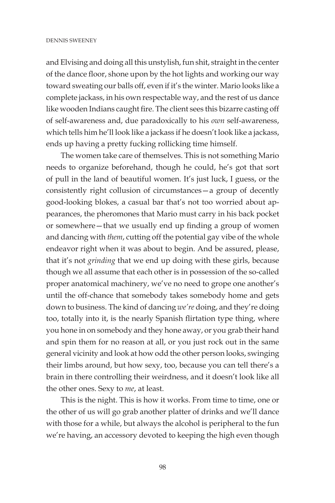and Elvising and doing all this unstylish, fun shit, straight in the center of the dance floor, shone upon by the hot lights and working our way toward sweating our balls off, even if it's the winter. Mario looks like a complete jackass, in his own respectable way, and the rest of us dance like wooden Indians caught fire. The client sees this bizarre casting off of self-awareness and, due paradoxically to his *own* self-awareness, which tells him he'll look like a jackass if he doesn't look like a jackass, ends up having a pretty fucking rollicking time himself.

The women take care of themselves. This is not something Mario needs to organize beforehand, though he could, he's got that sort of pull in the land of beautiful women. It's just luck, I guess, or the consistently right collusion of circumstances—a group of decently good-looking blokes, a casual bar that's not too worried about appearances, the pheromones that Mario must carry in his back pocket or somewhere—that we usually end up finding a group of women and dancing with *them*, cutting off the potential gay vibe of the whole endeavor right when it was about to begin. And be assured, please, that it's not *grinding* that we end up doing with these girls, because though we all assume that each other is in possession of the so-called proper anatomical machinery, we've no need to grope one another's until the off-chance that somebody takes somebody home and gets down to business. The kind of dancing *we're* doing, and they're doing too, totally into it, is the nearly Spanish flirtation type thing, where you hone in on somebody and they hone away, or you grab their hand and spin them for no reason at all, or you just rock out in the same general vicinity and look at how odd the other person looks, swinging their limbs around, but how sexy, too, because you can tell there's a brain in there controlling their weirdness, and it doesn't look like all the other ones. Sexy to *me*, at least.

This is the night. This is how it works. From time to time, one or the other of us will go grab another platter of drinks and we'll dance with those for a while, but always the alcohol is peripheral to the fun we're having, an accessory devoted to keeping the high even though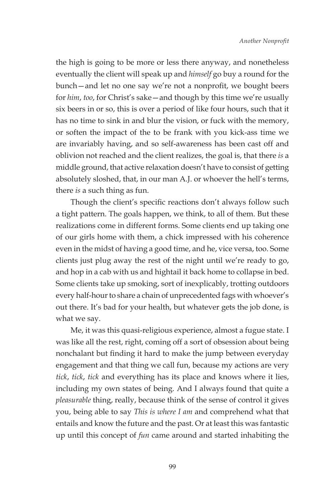the high is going to be more or less there anyway, and nonetheless eventually the client will speak up and *himself* go buy a round for the bunch—and let no one say we're not a nonprofit, we bought beers for *him*, *too*, for Christ's sake—and though by this time we're usually six beers in or so, this is over a period of like four hours, such that it has no time to sink in and blur the vision, or fuck with the memory, or soften the impact of the to be frank with you kick-ass time we are invariably having, and so self-awareness has been cast off and oblivion not reached and the client realizes, the goal is, that there *is* a middle ground, that active relaxation doesn't have to consist of getting absolutely sloshed, that, in our man A.J. or whoever the hell's terms, there *is* a such thing as fun.

Though the client's specific reactions don't always follow such a tight pattern. The goals happen, we think, to all of them. But these realizations come in different forms. Some clients end up taking one of our girls home with them, a chick impressed with his coherence even in the midst of having a good time, and he, vice versa, too. Some clients just plug away the rest of the night until we're ready to go, and hop in a cab with us and hightail it back home to collapse in bed. Some clients take up smoking, sort of inexplicably, trotting outdoors every half-hour to share a chain of unprecedented fags with whoever's out there. It's bad for your health, but whatever gets the job done, is what we say.

Me, it was this quasi-religious experience, almost a fugue state. I was like all the rest, right, coming off a sort of obsession about being nonchalant but finding it hard to make the jump between everyday engagement and that thing we call fun, because my actions are very *tick*, *tick*, *tick* and everything has its place and knows where it lies, including my own states of being. And I always found that quite a *pleasurable* thing, really, because think of the sense of control it gives you, being able to say *This is where I am* and comprehend what that entails and know the future and the past. Or at least this was fantastic up until this concept of *fun* came around and started inhabiting the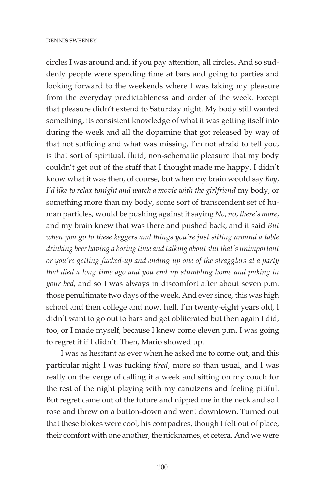circles I was around and, if you pay attention, all circles. And so suddenly people were spending time at bars and going to parties and looking forward to the weekends where I was taking my pleasure from the everyday predictableness and order of the week. Except that pleasure didn't extend to Saturday night. My body still wanted something, its consistent knowledge of what it was getting itself into during the week and all the dopamine that got released by way of that not sufficing and what was missing, I'm not afraid to tell you, is that sort of spiritual, fluid, non-schematic pleasure that my body couldn't get out of the stuff that I thought made me happy. I didn't know what it was then, of course, but when my brain would say *Boy*, *I'd like to relax tonight and watch a movie with the girlfriend* my body, or something more than my body, some sort of transcendent set of human particles, would be pushing against it saying *No*, *no*, *there's more*, and my brain knew that was there and pushed back, and it said *But when you go to these keggers and things you're just sitting around a table drinking beer having a boring time and talking about shit that's unimportant or you're getting fucked-up and ending up one of the stragglers at a party that died a long time ago and you end up stumbling home and puking in your bed*, and so I was always in discomfort after about seven p.m. those penultimate two days of the week. And ever since, this was high school and then college and now, hell, I'm twenty-eight years old, I didn't want to go out to bars and get obliterated but then again I did, too, or I made myself, because I knew come eleven p.m. I was going to regret it if I didn't. Then, Mario showed up.

I was as hesitant as ever when he asked me to come out, and this particular night I was fucking *tired*, more so than usual, and I was really on the verge of calling it a week and sitting on my couch for the rest of the night playing with my canutzens and feeling pitiful. But regret came out of the future and nipped me in the neck and so I rose and threw on a button-down and went downtown. Turned out that these blokes were cool, his compadres, though I felt out of place, their comfort with one another, the nicknames, et cetera. And we were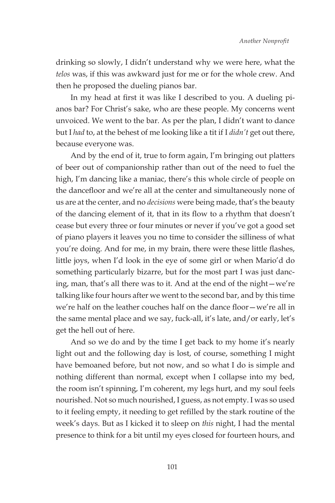drinking so slowly, I didn't understand why we were here, what the *telos* was, if this was awkward just for me or for the whole crew. And then he proposed the dueling pianos bar.

In my head at first it was like I described to you. A dueling pianos bar? For Christ's sake, who are these people. My concerns went unvoiced. We went to the bar. As per the plan, I didn't want to dance but I *had* to, at the behest of me looking like a tit if I *didn't* get out there, because everyone was.

And by the end of it, true to form again, I'm bringing out platters of beer out of companionship rather than out of the need to fuel the high, I'm dancing like a maniac, there's this whole circle of people on the dancefloor and we're all at the center and simultaneously none of us are at the center, and no *decisions* were being made, that's the beauty of the dancing element of it, that in its flow to a rhythm that doesn't cease but every three or four minutes or never if you've got a good set of piano players it leaves you no time to consider the silliness of what you're doing. And for me, in my brain, there were these little flashes, little joys, when I'd look in the eye of some girl or when Mario'd do something particularly bizarre, but for the most part I was just dancing, man, that's all there was to it. And at the end of the night—we're talking like four hours after we went to the second bar, and by this time we're half on the leather couches half on the dance floor—we're all in the same mental place and we say, fuck-all, it's late, and/or early, let's get the hell out of here.

And so we do and by the time I get back to my home it's nearly light out and the following day is lost, of course, something I might have bemoaned before, but not now, and so what I do is simple and nothing different than normal, except when I collapse into my bed, the room isn't spinning, I'm coherent, my legs hurt, and my soul feels nourished. Not so much nourished, I guess, as not empty. I was so used to it feeling empty, it needing to get refilled by the stark routine of the week's days. But as I kicked it to sleep on *this* night, I had the mental presence to think for a bit until my eyes closed for fourteen hours, and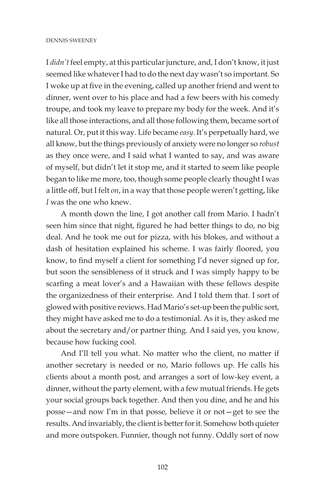I *didn't* feel empty, at this particular juncture, and, I don't know, it just seemed like whatever I had to do the next day wasn't so important. So I woke up at five in the evening, called up another friend and went to dinner, went over to his place and had a few beers with his comedy troupe, and took my leave to prepare my body for the week. And it's like all those interactions, and all those following them, became sort of natural. Or, put it this way. Life became *easy*. It's perpetually hard, we all know, but the things previously of anxiety were no longer so *robust* as they once were, and I said what I wanted to say, and was aware of myself, but didn't let it stop me, and it started to seem like people began to like me more, too, though some people clearly thought I was a little off, but I felt *on*, in a way that those people weren't getting, like *I* was the one who knew.

A month down the line, I got another call from Mario. I hadn't seen him since that night, figured he had better things to do, no big deal. And he took me out for pizza, with his blokes, and without a dash of hesitation explained his scheme. I was fairly floored, you know, to find myself a client for something I'd never signed up for, but soon the sensibleness of it struck and I was simply happy to be scarfing a meat lover's and a Hawaiian with these fellows despite the organizedness of their enterprise. And I told them that. I sort of glowed with positive reviews. Had Mario's set-up been the public sort, they might have asked me to do a testimonial. As it is, they asked me about the secretary and/or partner thing. And I said yes, you know, because how fucking cool.

And I'll tell you what. No matter who the client, no matter if another secretary is needed or no, Mario follows up. He calls his clients about a month post, and arranges a sort of low-key event, a dinner, without the party element, with a few mutual friends. He gets your social groups back together. And then you dine, and he and his posse—and now I'm in that posse, believe it or not—get to see the results. And invariably, the client is better for it. Somehow both quieter and more outspoken. Funnier, though not funny. Oddly sort of now